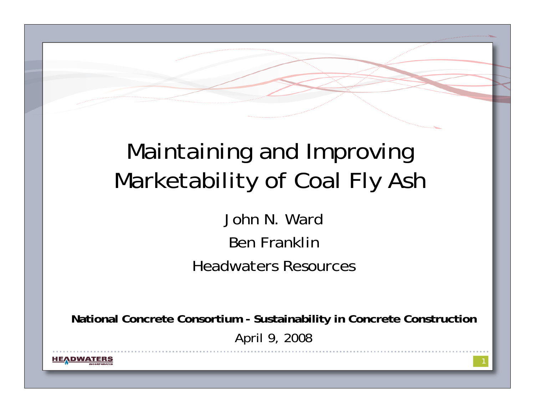#### Maintaining and Improving Marketability of Coal Fly Ash

John N. WardBen FranklinHeadwaters Resources

**National Concrete Consortium - Sustainability in Concrete Construction** April 9, 2008

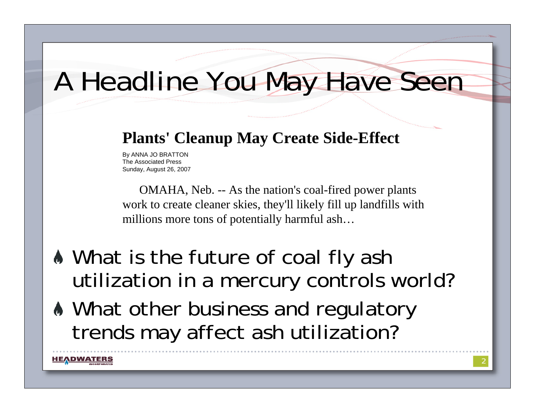### A Headline You May Have Seen

#### **Plants' Cleanup May Create Side-Effect**

By ANNA JO BRATTON The Associated PressSunday, August 26, 2007

**HEADWATERS** 

OMAHA, Neb. -- As the nation's coal-fired power plants work to create cleaner skies, they'll likely fill up landfills with millions more tons of potentially harmful ash…

- What is the future of coal fly ash utilization in a mercury controls world?
- $\bullet$  What other business and regulatory trends may affect ash utilization?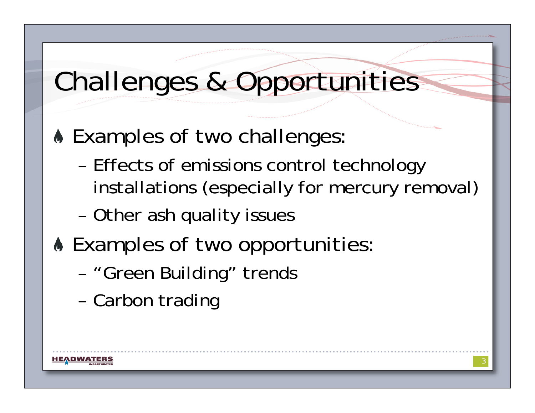# Challenges & Opportunities

- **A Examples of two challenges:** 
	- – Effects of emissions control technology installations (especially for mercury removal)
	- –Other ash quality issues
- **A Examples of two opportunities:** 
	- –"Green Building" trends
	- –Carbon trading

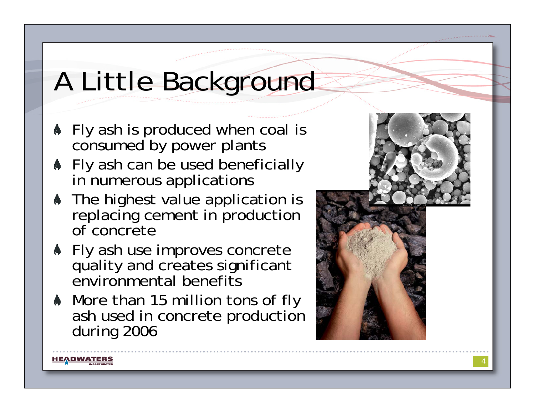# A Little Background

- **If** Fly ash is produced when coal is consumed by power plants
- **A** Fly ash can be used beneficially in numerous applications
- The highest value application is replacing cement in production of concrete
- **A** Fly ash use improves concrete quality and creates significant environmental benefits
- More than 15 million tons of fly ash used in concrete production during 2006

HEADWATERS



4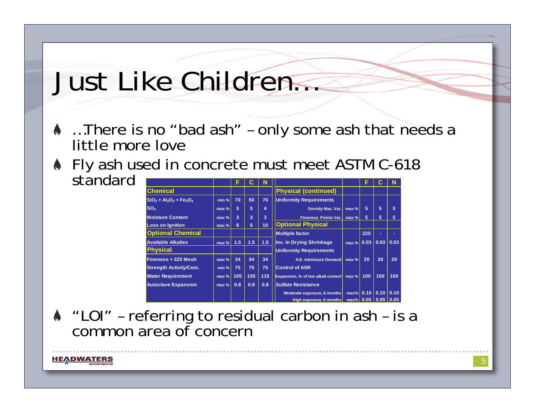### Just Like Children…

- …There is no "bad ash" only some ash that needs a little more love
- **If** Fly ash used in concrete must meet ASTM C-618 standard**FCNFCN**

|                               |         |     | C   |     |                                   |                     |      |      |      |
|-------------------------------|---------|-----|-----|-----|-----------------------------------|---------------------|------|------|------|
| <b>Chemical</b>               |         |     |     |     | <b>Physical (continued)</b>       |                     |      |      |      |
| $SiO2 + Al2O3 + Fe2O3$        | min %   | 70  | 50  | 70  | <b>Uniformity Requirements</b>    |                     |      |      |      |
| SO <sub>3</sub>               | $max$ % | 5   | 5   | 4   | Density Max. Var.                 | max %               | 5    | 5    | 5    |
| <b>Moisture Content</b>       | $max$ % | 3   | 3   | 3   | <b>Fineness Points Var.</b>       | max %               | 5    | 5    | 5    |
| <b>Loss on Ignition</b>       | $max$ % | 6   | 6   | 10  | <b>Optional Physical</b>          |                     |      |      |      |
| <b>Optional Chemical</b>      |         |     |     |     | <b>Multiple factor</b>            |                     | 225  | ٠    | ٠    |
| <b>Available Alkalies</b>     | max %   | 1.5 | 1.5 | 1.5 | Inc. In Drying Shrinkage          | $max$ %             | 0.03 | 0.03 | 0.03 |
| <b>Physical</b>               |         |     |     |     | <b>Uniformity Requirements</b>    |                     |      |      |      |
| Fineness + 325 Mesh           | max %   | 34  | 34  | 34  | A.E. Admixture Demand             | $max$ %             | 20   | 20   | 20   |
| <b>Strength Activity/Cem.</b> | min %   | 75  | 75  | 75  | <b>Control of ASR</b>             |                     |      |      |      |
| <b>Water Requirement</b>      | max %   | 105 | 105 | 115 | Expansion, % of low alkali cement | $max$ %             | 100  | 100  | 100  |
| <b>Autoclave Expansion</b>    | max %   | 0.8 | 0.8 | 0.8 | <b>Sulfate Resistance</b>         |                     |      |      |      |
|                               |         |     |     |     | Moderate exposure, 6 months       | $max\%$             | 0.10 | 0.10 | 0.10 |
|                               |         |     |     |     | High exposure, 6 months           | max% 0.05 0.05 0.05 |      |      |      |

"LOI" – referring to residual carbon in ash – is a common area of concern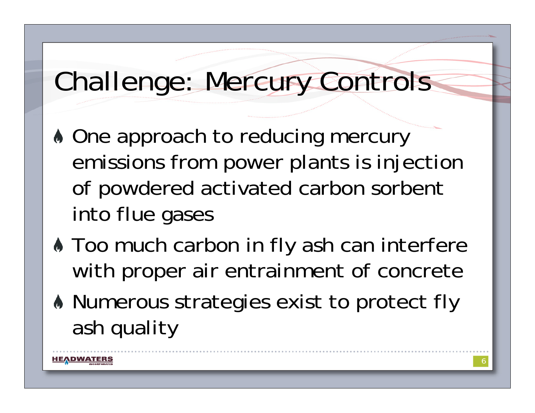## Challenge: Mercury Controls

- $\bullet$  **One approach to reducing mercury** emissions from power plants is injection of powdered activated carbon sorbent into flue gases
- $\bullet$  **Too much carbon in fly ash can interfere** with proper air entrainment of concrete
- Numerous strategies exist to protect fly ash quality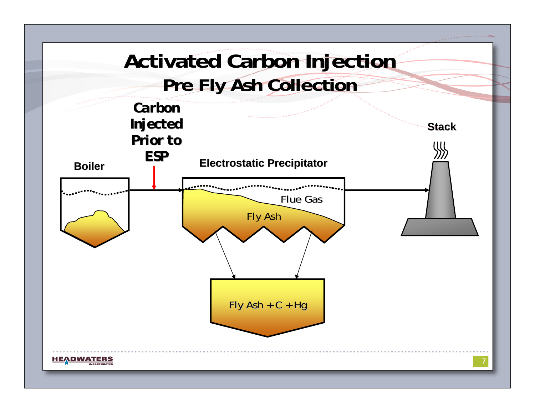#### **Activated Carbon Injection Pre Fly Ash Collection**

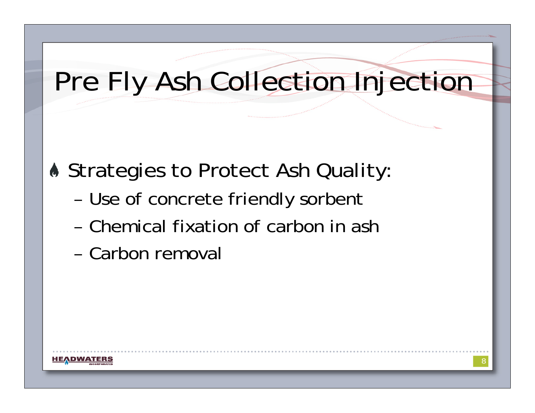## Pre Fly Ash Collection Injection

#### **Strategies to Protect Ash Quality:**

- –Use of concrete friendly sorbent
- Chemical fixation of carbon in ash
- Carbon removal

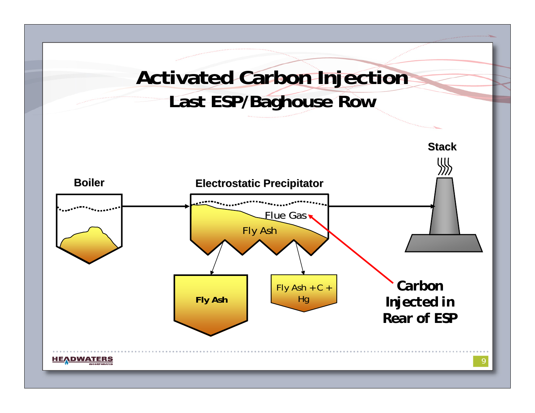#### **Activated Carbon Injection Last ESP/Baghouse Row**

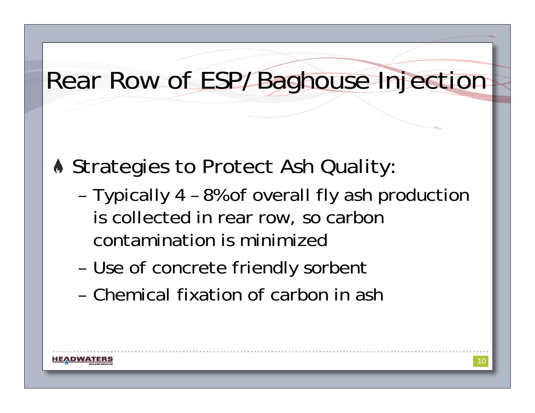#### Rear Row of ESP/Baghouse Injection

- **A Strategies to Protect Ash Quality:** 
	- – Typically 4 – 8% of overall fly ash production is collected in rear row, so carbon contamination is minimized
	- –Use of concrete friendly sorbent
	- Chemical fixation of carbon in ash

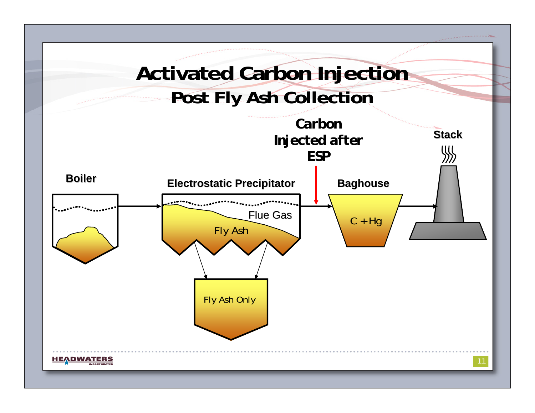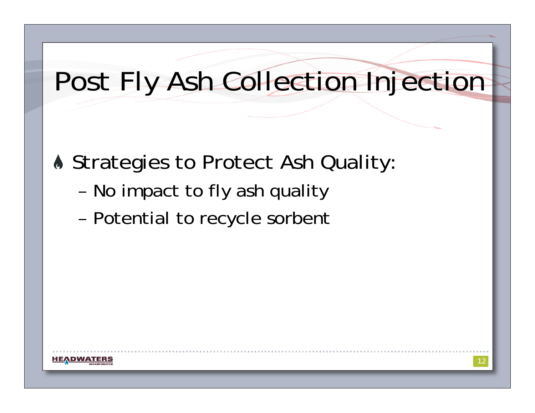# Post Fly Ash Collection Injection

**A Strategies to Protect Ash Quality:** 

- –No impact to fly ash quality
- –Potential to recycle sorbent

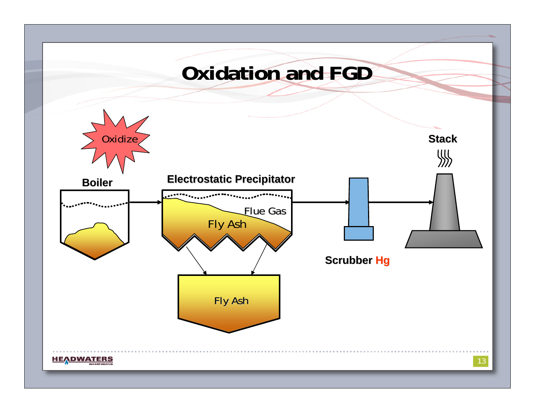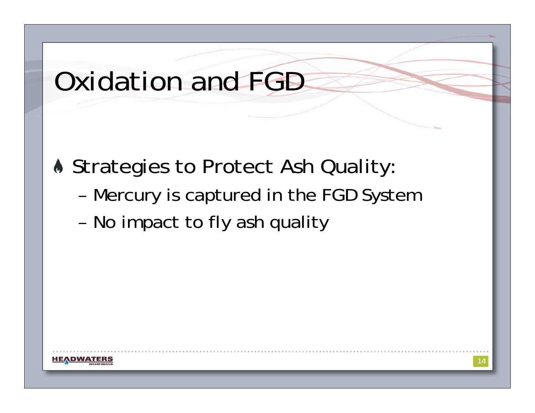## Oxidation and FGD

**A Strategies to Protect Ash Quality:** 

- –Mercury is captured in the FGD System
- –No impact to fly ash quality

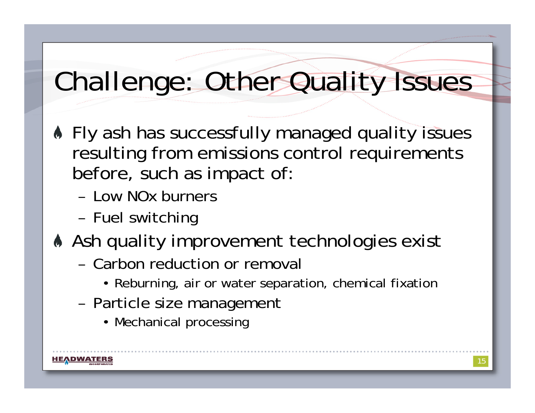# Challenge: Other Quality Issues

- Fly ash has successfully managed quality issues resulting from emissions control requirements before, such as impact of:
	- Low NOx burners
	- –Fuel switching
- Ash quality improvement technologies exist
	- Carbon reduction or removal
		- Reburning, air or water separation, chemical fixation
	- – Particle size management
		- Mechanical processing

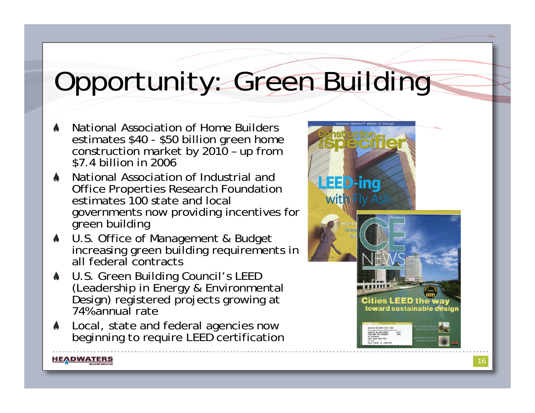# Opportunity: Green Building

- National Association of Home Builders estimates \$40 - \$50 billion green home construction market by 2010 – up from \$7.4 billion in 2006
- National Association of Industrial and Office Properties Research Foundation estimates 100 state and local governments now providing incentives for green building
- U.S. Office of Management & Budget increasing green building requirements in all federal contracts
- U.S. Green Building Council's LEED<br>(Leadership in Energy & Environmental<br>Design) registered projects growing at 74% annual rate
- Local, state and federal agencies now beginning to require LEED certification

<u>HEADWATERS</u>

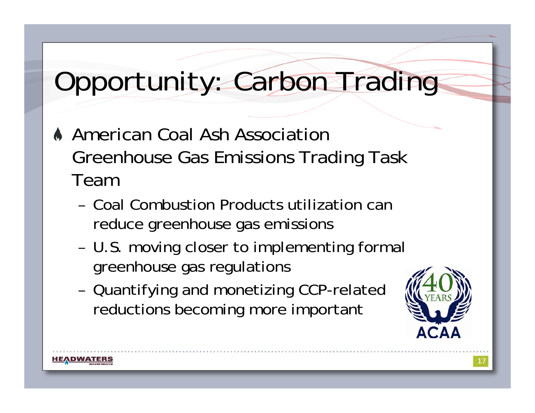# Opportunity: Carbon Trading

- American Coal Ash Association Greenhouse Gas Emissions Trading Task Team
	- Coal Combustion Products utilization can reduce greenhouse gas emissions
	- – U.S. moving closer to implementing formal greenhouse gas regulations
	- – Quantifying and monetizing CCP-related reductions becoming more important



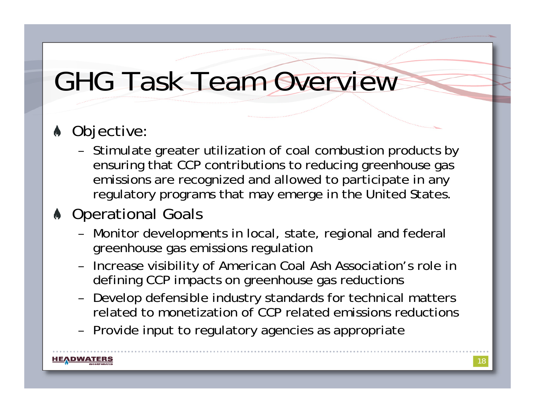# GHG Task Team Overview

#### **A** Objective:

HEADWATERS

– Stimulate greater utilization of coal combustion products by ensuring that CCP contributions to reducing greenhouse gas emissions are recognized and allowed to participate in any regulatory programs that may emerge in the United States.

#### **Operational Goals**

- – Monitor developments in local, state, regional and federal greenhouse gas emissions regulation
- – Increase visibility of American Coal Ash Association's role in defining CCP impacts on greenhouse gas reductions
- – Develop defensible industry standards for technical matters related to monetization of CCP related emissions reductions
- –Provide input to regulatory agencies as appropriate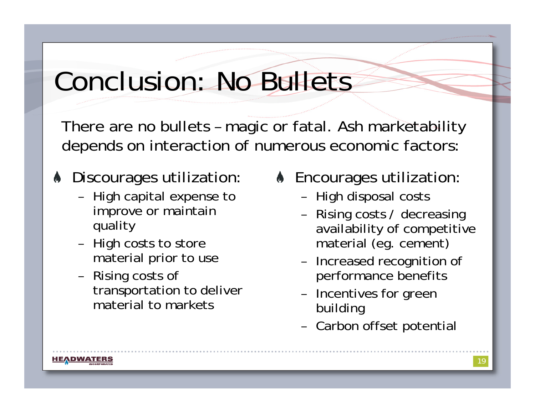# Conclusion: No Bullets

There are no bullets – magic or fatal. Ash marketability depends on interaction of numerous economic factors:

#### **A** Discourages utilization:

- – High capital expense to improve or maintain quality
- – High costs to store material prior to use
- – Rising costs of transportation to deliver material to markets
- **A** Encourages utilization:
	- –High disposal costs
	- – Rising costs / decreasing availability of competitive material (eg. cement)
	- – Increased recognition of performance benefits
	- – Incentives for green building
	- –Carbon offset potential

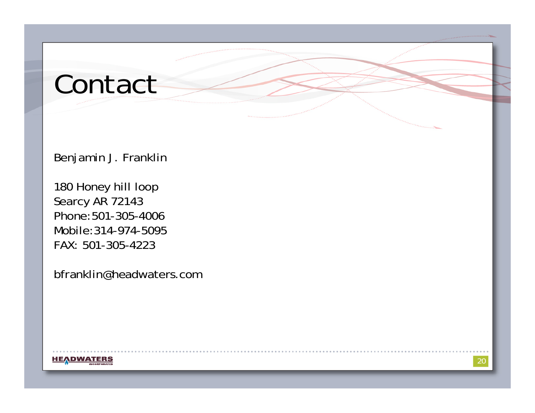## Contact

Benjamin J. Franklin

180 Honey hill loop Searcy AR 72143 Phone:501-305-4006 Mobile:314-974-5095FAX: 501-305-4223

bfranklin@headwaters.com